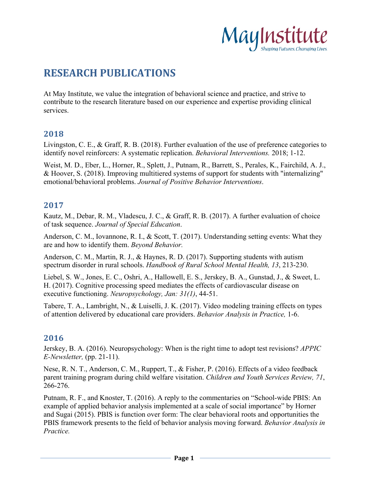

# **RESEARCH PUBLICATIONS**

At May Institute, we value the integration of behavioral science and practice, and strive to contribute to the research literature based on our experience and expertise providing clinical services.

#### **2018**

Livingston, C. E., & Graff, R. B. (2018). Further evaluation of the use of preference categories to identify novel reinforcers: A systematic replication. *Behavioral Interventions.* 2018; 1-12.

Weist, M. D., Eber, L., Horner, R., Splett, J., Putnam, R., Barrett, S., Perales, K., Fairchild, A. J., & Hoover, S. (2018). Improving multitiered systems of support for students with "internalizing" emotional/behavioral problems. *Journal of Positive Behavior Interventions*.

#### **2017**

Kautz, M., Debar, R. M., Vladescu, J. C., & Graff, R. B. (2017). A further evaluation of choice of task sequence. *Journal of Special Education*.

Anderson, C. M., Iovannone, R. I., & Scott, T. (2017). Understanding setting events: What they are and how to identify them. *Beyond Behavior.*

Anderson, C. M., Martin, R. J., & Haynes, R. D. (2017). Supporting students with autism spectrum disorder in rural schools. *Handbook of Rural School Mental Health, 13*, 213-230.

Liebel, S. W., Jones, E. C., Oshri, A., Hallowell, E. S., Jerskey, B. A., Gunstad, J., & Sweet, L. H. (2017). Cognitive processing speed mediates the effects of cardiovascular disease on executive functioning. *Neuropsychology, Jan: 31(1)*, 44-51.

Tabere, T. A., Lambright, N., & Luiselli, J. K. (2017). Video modeling training effects on types of attention delivered by educational care providers. *Behavior Analysis in Practice,* 1-6.

#### **2016**

Jerskey, B. A. (2016). Neuropsychology: When is the right time to adopt test revisions? *APPIC E-Newsletter,* (pp. 21-11).

Nese, R. N. T., Anderson, C. M., Ruppert, T., & Fisher, P. (2016). Effects of a video feedback parent training program during child welfare visitation. *Children and Youth Services Review, 71*, 266-276.

Putnam, R. F., and Knoster, T. (2016). A reply to the commentaries on "School-wide PBIS: An example of applied behavior analysis implemented at a scale of social importance" by Horner and Sugai (2015). PBIS is function over form: The clear behavioral roots and opportunities the PBIS framework presents to the field of behavior analysis moving forward. *Behavior Analysis in Practice.*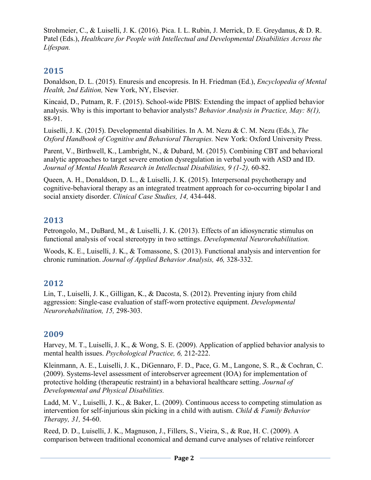Strohmeier, C., & Luiselli, J. K. (2016). Pica. I. L. Rubin, J. Merrick, D. E. Greydanus, & D. R. Patel (Eds.), *Healthcare for People with Intellectual and Developmental Disabilities Across the Lifespan.*

# **2015**

Donaldson, D. L. (2015). Enuresis and encopresis. In H. Friedman (Ed.), *Encyclopedia of Mental Health, 2nd Edition,* New York, NY, Elsevier.

Kincaid, D., Putnam, R. F. (2015). School-wide PBIS: Extending the impact of applied behavior analysis. Why is this important to behavior analysts? *Behavior Analysis in Practice, May: 8(1),* 88-91.

Luiselli, J. K. (2015). Developmental disabilities. In A. M. Nezu & C. M. Nezu (Eds.), *The Oxford Handbook of Cognitive and Behavioral Therapies.* New York: Oxford University Press.

Parent, V., Birthwell, K., Lambright, N., & Dubard, M. (2015). Combining CBT and behavioral analytic approaches to target severe emotion dysregulation in verbal youth with ASD and ID. *Journal of Mental Health Research in Intellectual Disabilities, 9 (1-2),* 60-82.

Queen, A. H., Donaldson, D. L., & Luiselli, J. K. (2015). Interpersonal psychotherapy and cognitive-behavioral therapy as an integrated treatment approach for co-occurring bipolar I and social anxiety disorder. *Clinical Case Studies, 14,* 434-448.

# **2013**

Petrongolo, M., DuBard, M., & Luiselli, J. K. (2013). Effects of an idiosyncratic stimulus on functional analysis of vocal stereotypy in two settings. *Developmental Neurorehabilitation.*

Woods, K. E., Luiselli, J. K., & Tomassone, S. (2013). Functional analysis and intervention for chronic rumination. *Journal of Applied Behavior Analysis, 46,* 328-332.

#### **2012**

Lin, T., Luiselli, J. K., Gilligan, K., & Dacosta, S. (2012). Preventing injury from child aggression: Single-case evaluation of staff-worn protective equipment. *Developmental Neurorehabilitation, 15,* 298-303.

#### **2009**

Harvey, M. T., Luiselli, J. K., & Wong, S. E. (2009). Application of applied behavior analysis to mental health issues. *Psychological Practice, 6,* 212-222.

Kleinmann, A. E., Luiselli, J. K., DiGennaro, F. D., Pace, G. M., Langone, S. R., & Cochran, C. (2009). Systems-level assessment of interobserver agreement (IOA) for implementation of protective holding (therapeutic restraint) in a behavioral healthcare setting. *Journal of Developmental and Physical Disabilities.*

Ladd, M. V., Luiselli, J. K., & Baker, L. (2009). Continuous access to competing stimulation as intervention for self-injurious skin picking in a child with autism. *Child & Family Behavior Therapy, 31,* 54-60.

Reed, D. D., Luiselli, J. K., Magnuson, J., Fillers, S., Vieira, S., & Rue, H. C. (2009). A comparison between traditional economical and demand curve analyses of relative reinforcer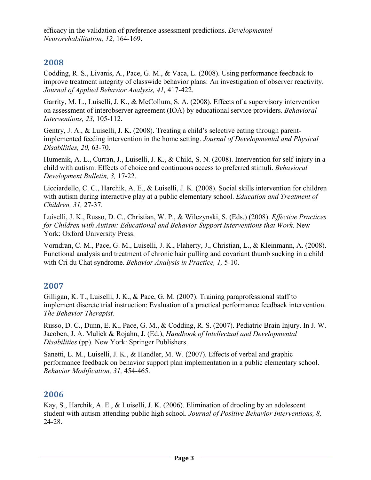efficacy in the validation of preference assessment predictions. *Developmental Neurorehabilitation, 12,* 164-169.

# **2008**

Codding, R. S., Livanis, A., Pace, G. M., & Vaca, L. (2008). Using performance feedback to improve treatment integrity of classwide behavior plans: An investigation of observer reactivity. *Journal of Applied Behavior Analysis, 41,* 417-422.

Garrity, M. L., Luiselli, J. K., & McCollum, S. A. (2008). Effects of a supervisory intervention on assessment of interobserver agreement (IOA) by educational service providers. *Behavioral Interventions, 23,* 105-112.

Gentry, J. A., & Luiselli, J. K. (2008). Treating a child's selective eating through parentimplemented feeding intervention in the home setting. *Journal of Developmental and Physical Disabilities, 20,* 63-70.

Humenik, A. L., Curran, J., Luiselli, J. K., & Child, S. N. (2008). Intervention for self-injury in a child with autism: Effects of choice and continuous access to preferred stimuli. *Behavioral Development Bulletin, 3,* 17-22.

Licciardello, C. C., Harchik, A. E., & Luiselli, J. K. (2008). Social skills intervention for children with autism during interactive play at a public elementary school. *Education and Treatment of Children, 31,* 27-37.

Luiselli, J. K., Russo, D. C., Christian, W. P., & Wilczynski, S. (Eds.) (2008). *Effective Practices for Children with Autism: Educational and Behavior Support Interventions that Work*. New York: Oxford University Press.

Vorndran, C. M., Pace, G. M., Luiselli, J. K., Flaherty, J., Christian, L., & Kleinmann, A. (2008). Functional analysis and treatment of chronic hair pulling and covariant thumb sucking in a child with Cri du Chat syndrome. *Behavior Analysis in Practice, 1,* 5-10.

#### **2007**

Gilligan, K. T., Luiselli, J. K., & Pace, G. M. (2007). Training paraprofessional staff to implement discrete trial instruction: Evaluation of a practical performance feedback intervention. *The Behavior Therapist.*

Russo, D. C., Dunn, E. K., Pace, G. M., & Codding, R. S. (2007). Pediatric Brain Injury. In J. W. Jacoben, J. A. Mulick & Rojahn, J. (Ed.), *Handbook of Intellectual and Developmental Disabilities* (pp). New York: Springer Publishers.

Sanetti, L. M., Luiselli, J. K., & Handler, M. W. (2007). Effects of verbal and graphic performance feedback on behavior support plan implementation in a public elementary school. *Behavior Modification, 31,* 454-465.

#### **2006**

Kay, S., Harchik, A. E., & Luiselli, J. K. (2006). Elimination of drooling by an adolescent student with autism attending public high school. *Journal of Positive Behavior Interventions, 8,*  24-28.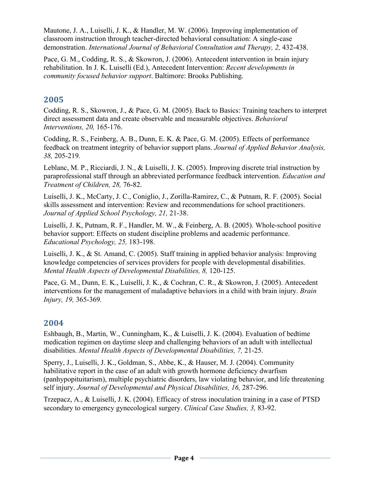Mautone, J. A., Luiselli, J. K., & Handler, M. W. (2006). Improving implementation of classroom instruction through teacher-directed behavioral consultation: A single-case demonstration. *International Journal of Behavioral Consultation and Therapy, 2, 432-438.* 

Pace, G. M., Codding, R. S., & Skowron, J. (2006). Antecedent intervention in brain injury rehabilitation. In J. K. Luiselli (Ed.), Antecedent Intervention: *Recent developments in community focused behavior support*. Baltimore: Brooks Publishing.

# **2005**

Codding, R. S., Skowron, J., & Pace, G. M. (2005). Back to Basics: Training teachers to interpret direct assessment data and create observable and measurable objectives. *Behavioral Interventions, 20,* 165-176.

Codding, R. S., Feinberg, A. B., Dunn, E. K. & Pace, G. M. (2005). Effects of performance feedback on treatment integrity of behavior support plans. *Journal of Applied Behavior Analysis, 38,* 205-219*.*

Leblanc, M. P., Ricciardi, J. N., & Luiselli, J. K. (2005). Improving discrete trial instruction by paraprofessional staff through an abbreviated performance feedback intervention. *Education and Treatment of Children, 28,* 76-82.

Luiselli, J. K., McCarty, J. C., Coniglio, J., Zorilla-Ramirez, C., & Putnam, R. F. (2005). Social skills assessment and intervention: Review and recommendations for school practitioners. *Journal of Applied School Psychology, 21,* 21-38.

Luiselli, J. K, Putnam, R. F., Handler, M. W., & Feinberg, A. B. (2005). Whole-school positive behavior support: Effects on student discipline problems and academic performance. *Educational Psychology, 25,* 183-198.

Luiselli, J. K., & St. Amand, C. (2005). Staff training in applied behavior analysis: Improving knowledge competencies of services providers for people with developmental disabilities. *Mental Health Aspects of Developmental Disabilities, 8,* 120-125.

Pace, G. M., Dunn, E. K., Luiselli, J. K., & Cochran, C. R., & Skowron, J. (2005). Antecedent interventions for the management of maladaptive behaviors in a child with brain injury. *Brain Injury, 19,* 365-369*.*

#### **2004**

Eshbaugh, B., Martin, W., Cunningham, K., & Luiselli, J. K. (2004). Evaluation of bedtime medication regimen on daytime sleep and challenging behaviors of an adult with intellectual disabilities. *Mental Health Aspects of Developmental Disabilities, 7,* 21-25.

Sperry, J., Luiselli, J. K., Goldman, S., Abbe, K., & Hauser, M. J. (2004). Community habilitative report in the case of an adult with growth hormone deficiency dwarfism (panhypopituitarism), multiple psychiatric disorders, law violating behavior, and life threatening self injury. *Journal of Developmental and Physical Disabilities, 16, 287-296.* 

Trzepacz, A., & Luiselli, J. K. (2004). Efficacy of stress inoculation training in a case of PTSD secondary to emergency gynecological surgery. *Clinical Case Studies, 3,* 83-92.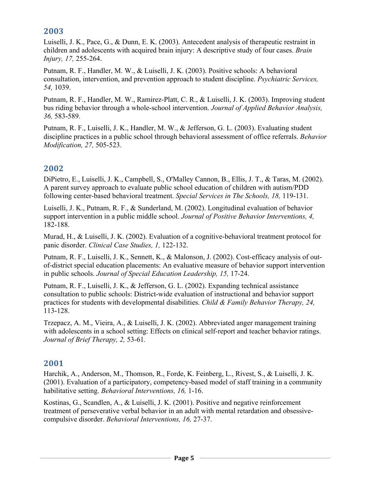# **2003**

Luiselli, J. K., Pace, G., & Dunn, E. K. (2003). Antecedent analysis of therapeutic restraint in children and adolescents with acquired brain injury: A descriptive study of four cases. *Brain Injury, 17,* 255-264.

Putnam, R. F., Handler, M. W., & Luiselli, J. K. (2003). Positive schools: A behavioral consultation, intervention, and prevention approach to student discipline. *Psychiatric Services, 54,* 1039.

Putnam, R. F., Handler, M. W., Ramirez-Platt, C. R., & Luiselli, J. K. (2003). Improving student bus riding behavior through a whole-school intervention. *Journal of Applied Behavior Analysis, 36,* 583-589.

Putnam, R. F., Luiselli, J. K., Handler, M. W., & Jefferson, G. L. (2003). Evaluating student discipline practices in a public school through behavioral assessment of office referrals. *Behavior Modification, 27,* 505-523.

#### **2002**

DiPietro, E., Luiselli, J. K., Campbell, S., O'Malley Cannon, B., Ellis, J. T., & Taras, M. (2002). A parent survey approach to evaluate public school education of children with autism/PDD following center-based behavioral treatment. *Special Services in The Schools, 18,* 119-131.

Luiselli, J. K., Putnam, R. F., & Sunderland, M. (2002). Longitudinal evaluation of behavior support intervention in a public middle school. *Journal of Positive Behavior Interventions, 4,*  182-188.

Murad, H., & Luiselli, J. K. (2002). Evaluation of a cognitive-behavioral treatment protocol for panic disorder. *Clinical Case Studies, 1,* 122-132.

Putnam, R. F., Luiselli, J. K., Sennett, K., & Malonson, J. (2002). Cost-efficacy analysis of outof-district special education placements: An evaluative measure of behavior support intervention in public schools. *Journal of Special Education Leadership, 15,* 17-24.

Putnam, R. F., Luiselli, J. K., & Jefferson, G. L. (2002). Expanding technical assistance consultation to public schools: District-wide evaluation of instructional and behavior support practices for students with developmental disabilities. *Child & Family Behavior Therapy, 24,*  113-128.

Trzepacz, A. M., Vieira, A., & Luiselli, J. K. (2002). Abbreviated anger management training with adolescents in a school setting: Effects on clinical self-report and teacher behavior ratings. *Journal of Brief Therapy, 2,* 53-61*.*

#### **2001**

Harchik, A., Anderson, M., Thomson, R., Forde, K. Feinberg, L., Rivest, S., & Luiselli, J. K. (2001). Evaluation of a participatory, competency-based model of staff training in a community habilitative setting. *Behavioral Interventions, 16,* 1-16.

Kostinas, G., Scandlen, A., & Luiselli, J. K. (2001). Positive and negative reinforcement treatment of perseverative verbal behavior in an adult with mental retardation and obsessivecompulsive disorder. *Behavioral Interventions, 16,* 27-37.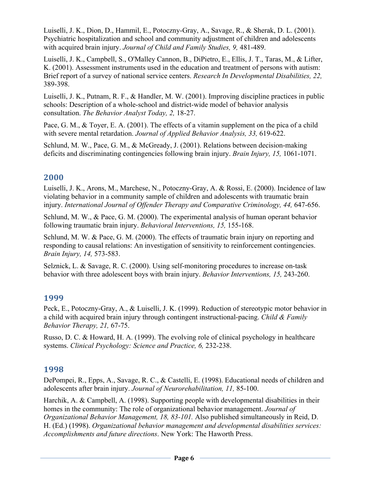Luiselli, J. K., Dion, D., Hammil, E., Potoczny-Gray, A., Savage, R., & Sherak, D. L. (2001). Psychiatric hospitalization and school and community adjustment of children and adolescents with acquired brain injury. *Journal of Child and Family Studies, 9,* 481-489.

Luiselli, J. K., Campbell, S., O'Malley Cannon, B., DiPietro, E., Ellis, J. T., Taras, M., & Lifter, K. (2001). Assessment instruments used in the education and treatment of persons with autism: Brief report of a survey of national service centers. *Research In Developmental Disabilities, 22,*  389-398.

Luiselli, J. K., Putnam, R. F., & Handler, M. W. (2001). Improving discipline practices in public schools: Description of a whole-school and district-wide model of behavior analysis consultation. *The Behavior Analyst Today, 2,* 18-27.

Pace, G. M., & Toyer, E. A. (2001). The effects of a vitamin supplement on the pica of a child with severe mental retardation. *Journal of Applied Behavior Analysis, 33,* 619-622.

Schlund, M. W., Pace, G. M., & McGready, J. (2001). Relations between decision-making deficits and discriminating contingencies following brain injury. *Brain Injury, 15,* 1061-1071.

# **2000**

Luiselli, J. K., Arons, M., Marchese, N., Potoczny-Gray, A. & Rossi, E. (2000). Incidence of law violating behavior in a community sample of children and adolescents with traumatic brain injury. *International Journal of Offender Therapy and Comparative Criminology, 44, 647-656.* 

Schlund, M. W., & Pace, G. M. (2000). The experimental analysis of human operant behavior following traumatic brain injury. *Behavioral Interventions, 15,* 155-168.

Schlund, M. W. & Pace, G. M. (2000). The effects of traumatic brain injury on reporting and responding to causal relations: An investigation of sensitivity to reinforcement contingencies. *Brain Injury, 14,* 573-583.

Selznick, L. & Savage, R. C. (2000). Using self-monitoring procedures to increase on-task behavior with three adolescent boys with brain injury. *Behavior Interventions, 15,* 243-260.

#### **1999**

Peck, E., Potoczny-Gray, A., & Luiselli, J. K. (1999). Reduction of stereotypic motor behavior in a child with acquired brain injury through contingent instructional-pacing. *Child & Family Behavior Therapy, 21,* 67-75.

Russo, D. C. & Howard, H. A. (1999). The evolving role of clinical psychology in healthcare systems. *Clinical Psychology: Science and Practice, 6,* 232-238.

#### **1998**

DePompei, R., Epps, A., Savage, R. C., & Castelli, E. (1998). Educational needs of children and adolescents after brain injury. *Journal of Neurorehabilitation, 11,* 85-100.

Harchik, A. & Campbell, A. (1998). Supporting people with developmental disabilities in their homes in the community: The role of organizational behavior management. *Journal of Organizational Behavior Management, 18, 83-101.* Also published simultaneously in Reid, D. H. (Ed.) (1998). *Organizational behavior management and developmental disabilities services: Accomplishments and future directions*. New York: The Haworth Press.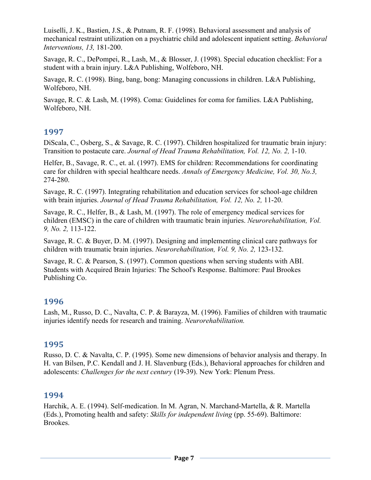Luiselli, J. K., Bastien, J.S., & Putnam, R. F. (1998). Behavioral assessment and analysis of mechanical restraint utilization on a psychiatric child and adolescent inpatient setting. *Behavioral Interventions, 13,* 181-200.

Savage, R. C., DePompei, R., Lash, M., & Blosser, J. (1998). Special education checklist: For a student with a brain injury. L&A Publishing, Wolfeboro, NH.

Savage, R. C. (1998). Bing, bang, bong: Managing concussions in children. L&A Publishing, Wolfeboro, NH.

Savage, R. C. & Lash, M. (1998). Coma: Guidelines for coma for families. L&A Publishing, Wolfeboro, NH.

#### **1997**

DiScala, C., Osberg, S., & Savage, R. C. (1997). Children hospitalized for traumatic brain injury: Transition to postacute care. *Journal of Head Trauma Rehabilitation, Vol. 12, No. 2,* 1-10.

Helfer, B., Savage, R. C., et. al. (1997). EMS for children: Recommendations for coordinating care for children with special healthcare needs. *Annals of Emergency Medicine, Vol. 30, No.3,*  274-280.

Savage, R. C. (1997). Integrating rehabilitation and education services for school-age children with brain injuries. *Journal of Head Trauma Rehabilitation, Vol. 12, No. 2,* 11-20.

Savage, R. C., Helfer, B., & Lash, M. (1997). The role of emergency medical services for children (EMSC) in the care of children with traumatic brain injuries. *Neurorehabilitation, Vol. 9, No. 2,* 113-122.

Savage, R. C. & Buyer, D. M. (1997). Designing and implementing clinical care pathways for children with traumatic brain injuries. *Neurorehabilitation, Vol. 9, No. 2,* 123-132.

Savage, R. C. & Pearson, S. (1997). Common questions when serving students with ABI. Students with Acquired Brain Injuries: The School's Response. Baltimore: Paul Brookes Publishing Co.

#### **1996**

Lash, M., Russo, D. C., Navalta, C. P. & Barayza, M. (1996). Families of children with traumatic injuries identify needs for research and training. *Neurorehabilitation.*

#### **1995**

Russo, D. C. & Navalta, C. P. (1995). Some new dimensions of behavior analysis and therapy. In H. van Bilsen, P.C. Kendall and J. H. Slavenburg (Eds.), Behavioral approaches for children and adolescents: *Challenges for the next century* (19-39). New York: Plenum Press.

#### **1994**

Harchik, A. E. (1994). Self-medication. In M. Agran, N. Marchand-Martella, & R. Martella (Eds.), Promoting health and safety: *Skills for independent living* (pp. 55-69). Baltimore: Brookes.